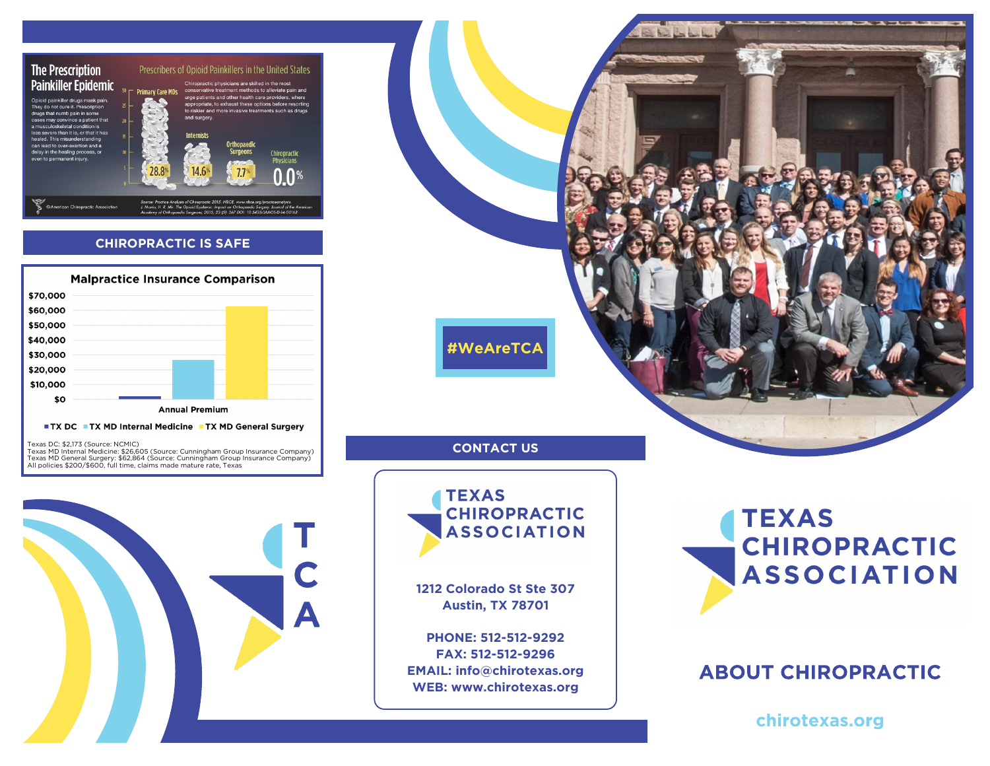

# **CHIROPRACTIC IS SAFE**



■ TX DC ■ TX MD Internal Medicine ■ TX MD General Surgery

Texas MD General Surgery: \$62,864 (Source: Cunningham Group Insurance Company) All policies \$200/\$600, full time, claims made mature rate, Texas





1212 Colorado St Ste 307 **1212 Colorado Street Steel Steel Steel Steel Steel Steel Steel Steel Steel Steel Steel Steel Steel Steel Steel Steel Steel Steel Steel Steel Steel Steel Steel Steel Steel Steel Steel Steel Steel Steel Steel Steel Steel St Austin, TX 78701**

**PHONE: 512-512-9292 EMAIL: info@chirotexas.org EMER:** www.chirotoxas.org **WEB: www.chirotexas.org**

**ASSOCIATION** 

## **ABOUT CHIROPRACTIC**

chirotexas.org